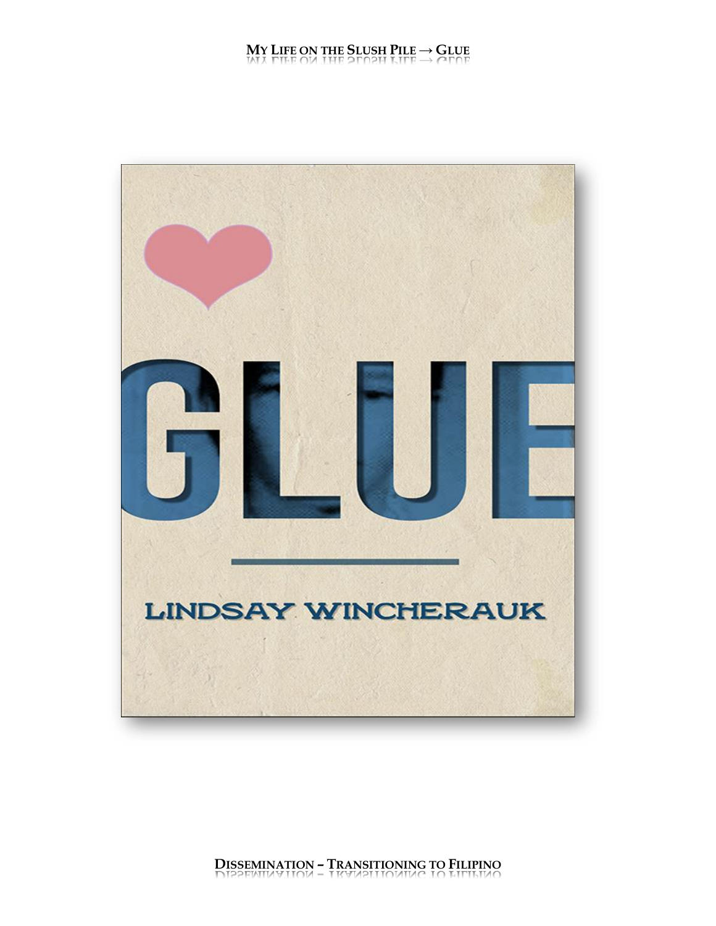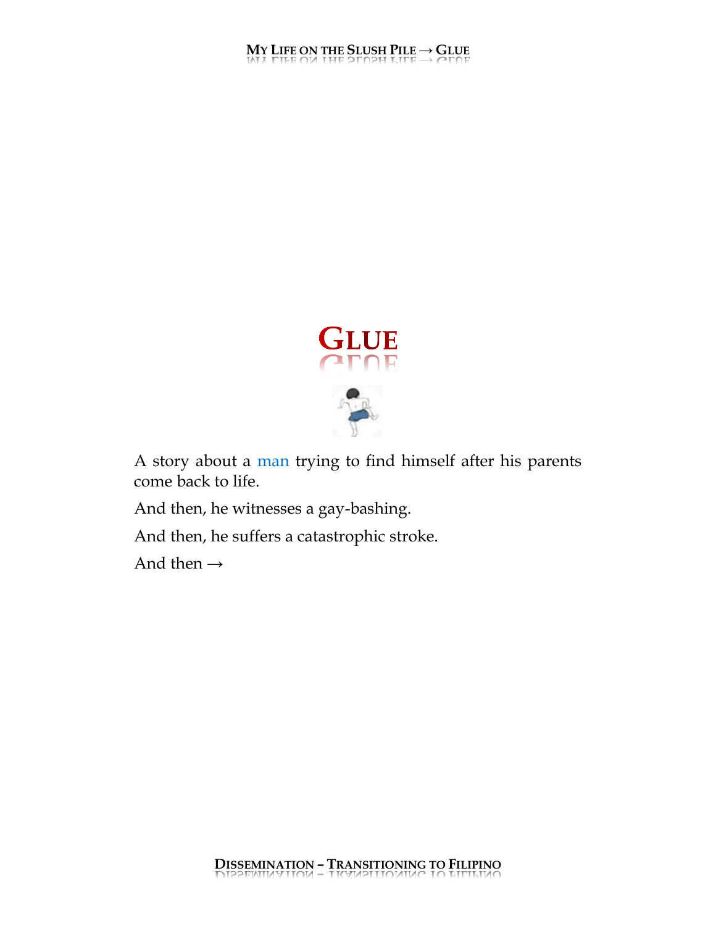

A story about a man trying to find himself after his parents come back to life.

And then, he witnesses a gay-bashing.

And then, he suffers a catastrophic stroke.

And then  $\rightarrow$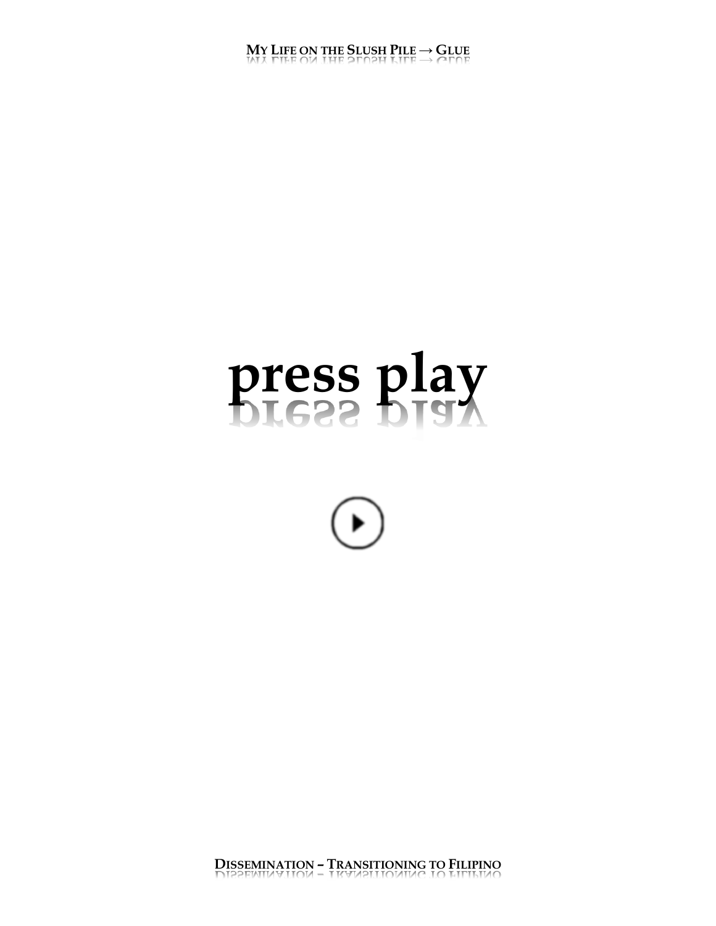# press play



DISSEMINATION - TRANSITIONING TO FILIPINO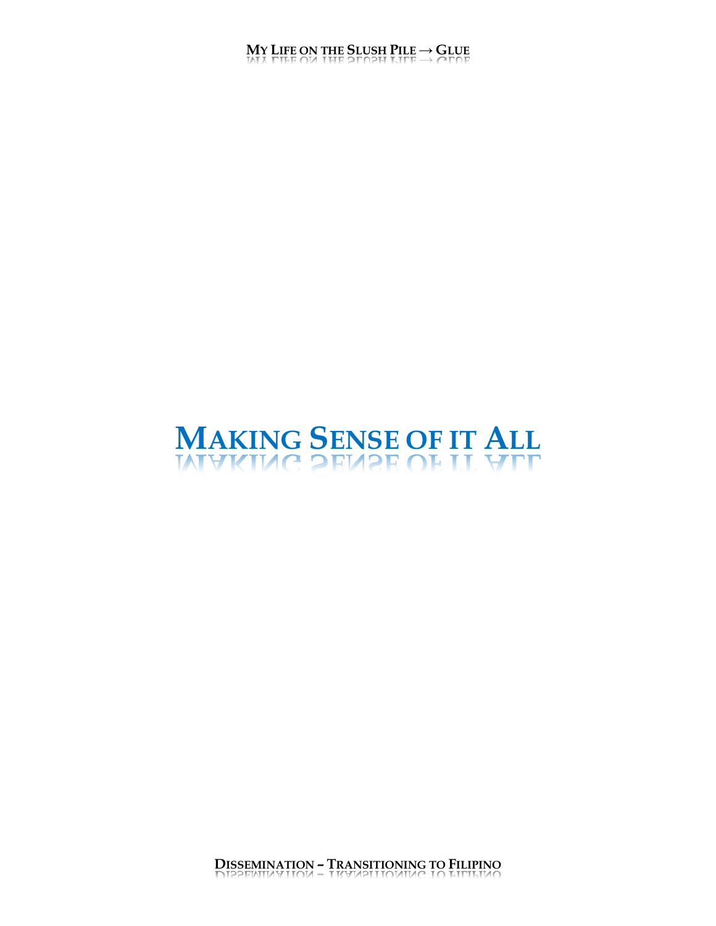# **MAKING SENSE OF IT ALL**<br>MUC 2EV2E OF IT YTT

**DISSEMINATION – TRANSITIONING TO FILIPINO**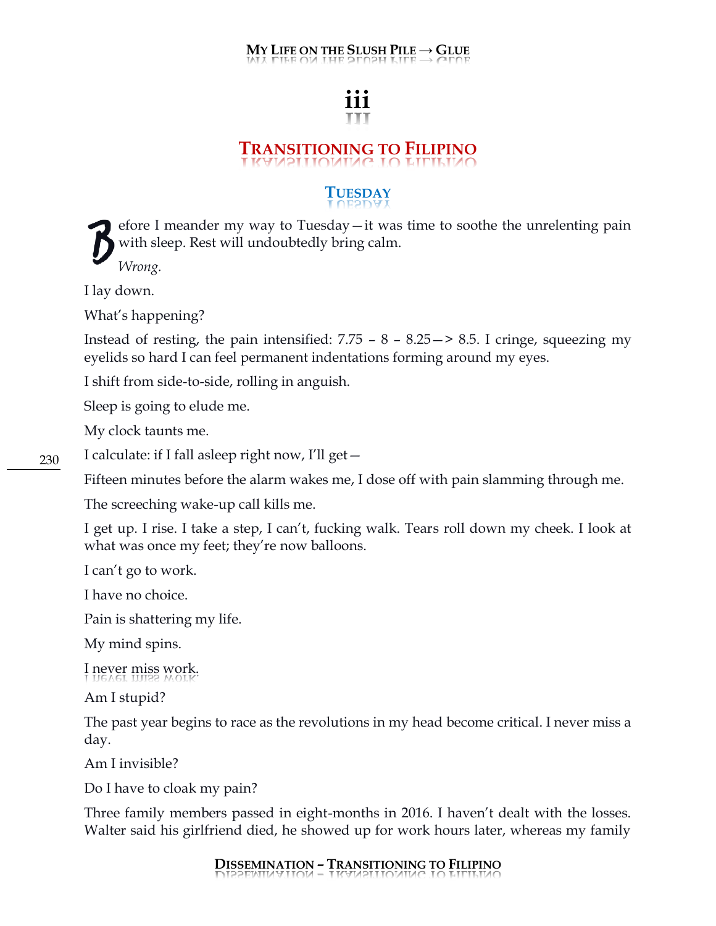# **iii**

# **TRANSITIONING TO FILIPINO**

#### **TUESDAY**

efore I meander my way to Tuesday—it was time to soothe the unrelenting pain with sleep. Rest will undoubtedly bring calm.  $\beta$ 

*Wrong.*

I lay down.

What's happening?

Instead of resting, the pain intensified:  $7.75 - 8 - 8.25 \rightarrow 8.5$ . I cringe, squeezing my eyelids so hard I can feel permanent indentations forming around my eyes.

I shift from side-to-side, rolling in anguish.

Sleep is going to elude me.

My clock taunts me.

I calculate: if I fall asleep right now, I'll get—

Fifteen minutes before the alarm wakes me, I dose off with pain slamming through me.

The screeching wake-up call kills me.

I get up. I rise. I take a step, I can't, fucking walk. Tears roll down my cheek. I look at what was once my feet; they're now balloons.

I can't go to work.

I have no choice.

Pain is shattering my life.

My mind spins.

I never miss work.

Am I stupid?

The past year begins to race as the revolutions in my head become critical. I never miss a day.

Am I invisible?

Do I have to cloak my pain?

Three family members passed in eight-months in 2016. I haven't dealt with the losses. Walter said his girlfriend died, he showed up for work hours later, whereas my family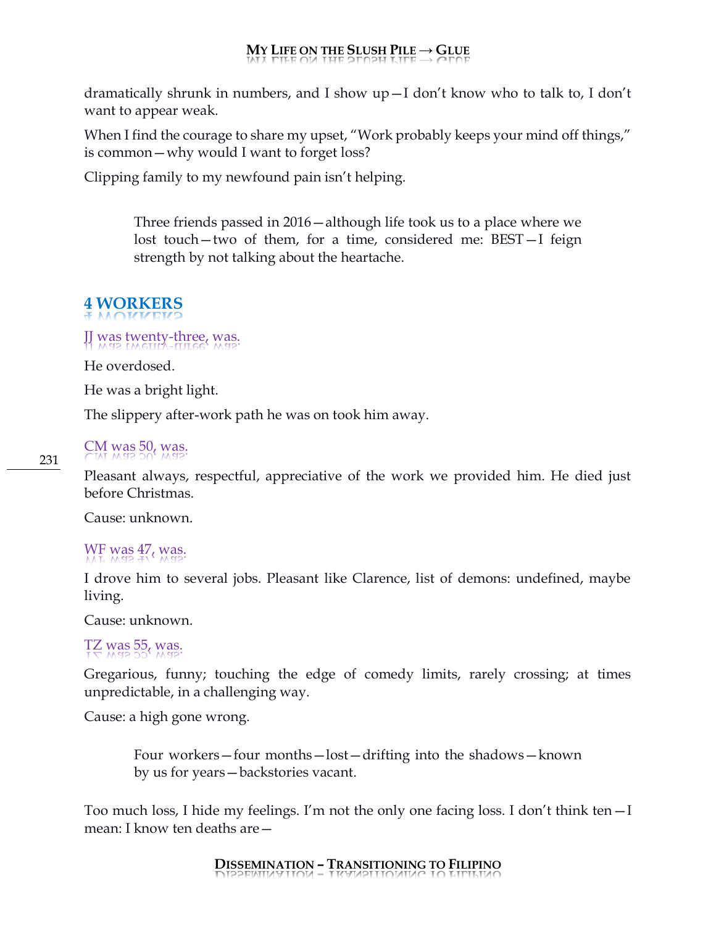dramatically shrunk in numbers, and I show up—I don't know who to talk to, I don't want to appear weak.

When I find the courage to share my upset, "Work probably keeps your mind off things," is common—why would I want to forget loss?

Clipping family to my newfound pain isn't helping.

Three friends passed in 2016—although life took us to a place where we lost touch—two of them, for a time, considered me: BEST—I feign strength by not talking about the heartache.

# **4 WORKERS**

#### JJ was twenty-three, was.

He overdosed.

He was a bright light.

The slippery after-work path he was on took him away.

#### CM was 50, was.

Pleasant always, respectful, appreciative of the work we provided him. He died just before Christmas.

Cause: unknown.

#### WF was  $47$ , was.

I drove him to several jobs. Pleasant like Clarence, list of demons: undefined, maybe living.

Cause: unknown.

#### TZ was  $55$ , was.

Gregarious, funny; touching the edge of comedy limits, rarely crossing; at times unpredictable, in a challenging way.

Cause: a high gone wrong.

Four workers—four months—lost—drifting into the shadows—known by us for years—backstories vacant.

Too much loss, I hide my feelings. I'm not the only one facing loss. I don't think ten—I mean: I know ten deaths are—

#### **DISSEMINATION – TRANSITIONING TO FILIPINO**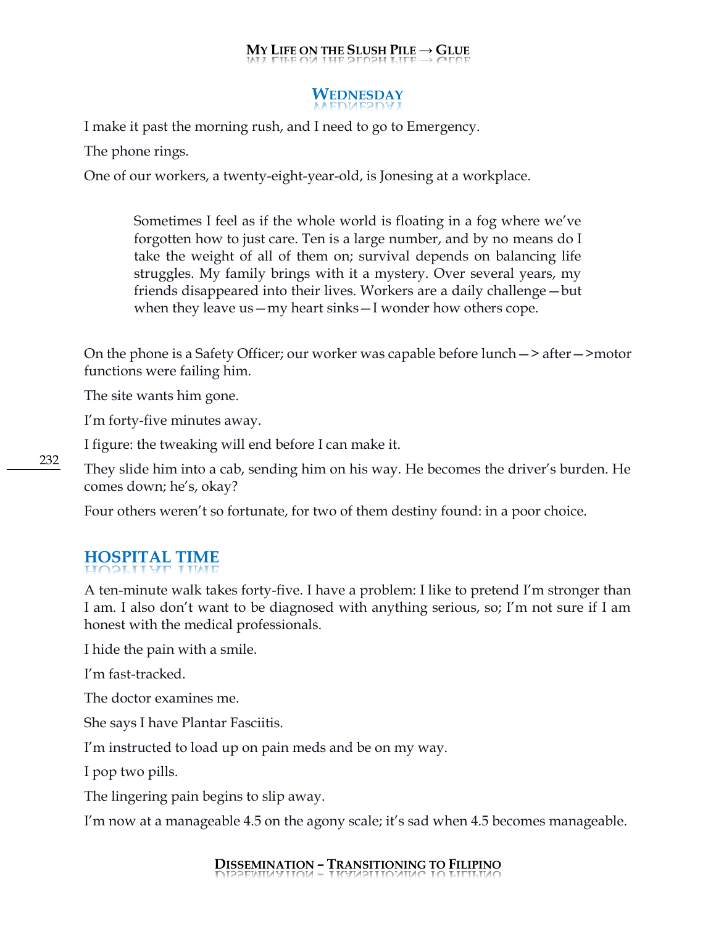### **WEDNESDAY**

I make it past the morning rush, and I need to go to Emergency.

The phone rings.

One of our workers, a twenty-eight-year-old, is Jonesing at a workplace.

Sometimes I feel as if the whole world is floating in a fog where we've forgotten how to just care. Ten is a large number, and by no means do I take the weight of all of them on; survival depends on balancing life struggles. My family brings with it a mystery. Over several years, my friends disappeared into their lives. Workers are a daily challenge—but when they leave us—my heart sinks—I wonder how others cope.

On the phone is a Safety Officer; our worker was capable before lunch—> after—>motor functions were failing him.

The site wants him gone.

I'm forty-five minutes away.

I figure: the tweaking will end before I can make it.

They slide him into a cab, sending him on his way. He becomes the driver's burden. He comes down; he's, okay?

Four others weren't so fortunate, for two of them destiny found: in a poor choice.

## **HOSPITAL TIME**

A ten-minute walk takes forty-five. I have a problem: I like to pretend I'm stronger than I am. I also don't want to be diagnosed with anything serious, so; I'm not sure if I am honest with the medical professionals.

I hide the pain with a smile.

I'm fast-tracked.

The doctor examines me.

She says I have Plantar Fasciitis.

I'm instructed to load up on pain meds and be on my way.

I pop two pills.

The lingering pain begins to slip away.

I'm now at a manageable 4.5 on the agony scale; it's sad when 4.5 becomes manageable.

#### **DISSEMINATION – TRANSITIONING TO FILIPINO**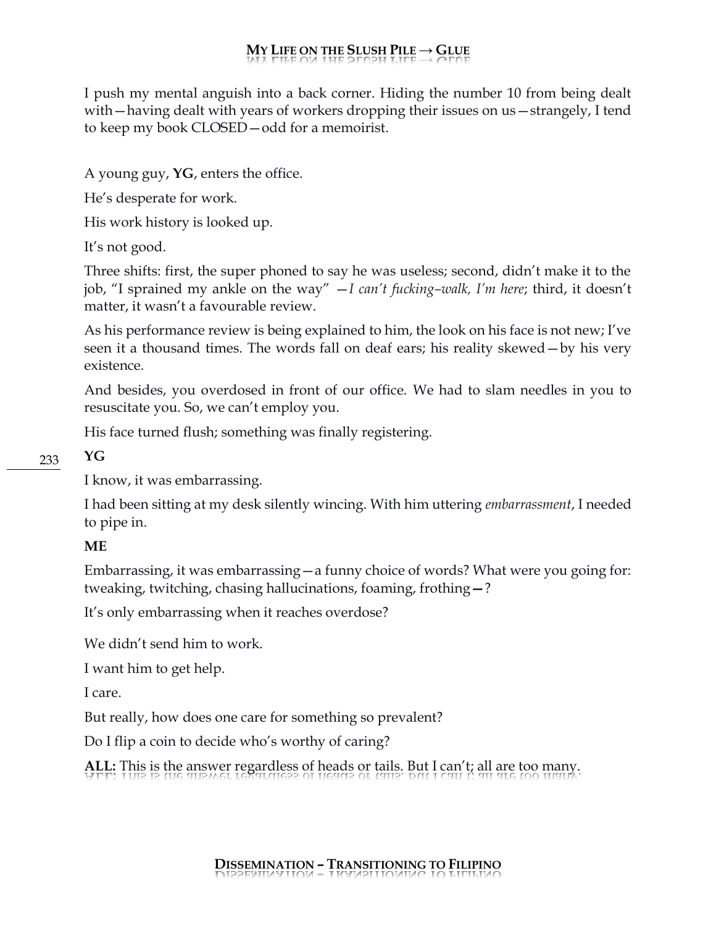I push my mental anguish into a back corner. Hiding the number 10 from being dealt with—having dealt with years of workers dropping their issues on us—strangely, I tend to keep my book CLOSED—odd for a memoirist.

A young guy, **YG**, enters the office.

He's desperate for work.

His work history is looked up.

It's not good.

Three shifts: first, the super phoned to say he was useless; second, didn't make it to the job, "I sprained my ankle on the way" —*I can't fucking–walk, I'm here*; third, it doesn't matter, it wasn't a favourable review.

As his performance review is being explained to him, the look on his face is not new; I've seen it a thousand times. The words fall on deaf ears; his reality skewed—by his very existence.

And besides, you overdosed in front of our office. We had to slam needles in you to resuscitate you. So, we can't employ you.

His face turned flush; something was finally registering.

**YG**

233

I know, it was embarrassing.

I had been sitting at my desk silently wincing. With him uttering *embarrassment*, I needed to pipe in.

#### **ME**

Embarrassing, it was embarrassing—a funny choice of words? What were you going for: tweaking, twitching, chasing hallucinations, foaming, frothing**—**?

It's only embarrassing when it reaches overdose?

We didn't send him to work.

I want him to get help.

I care.

But really, how does one care for something so prevalent?

Do I flip a coin to decide who's worthy of caring?

**ALL:** This is the answer regardless of heads or tails. But I can't; all are too many.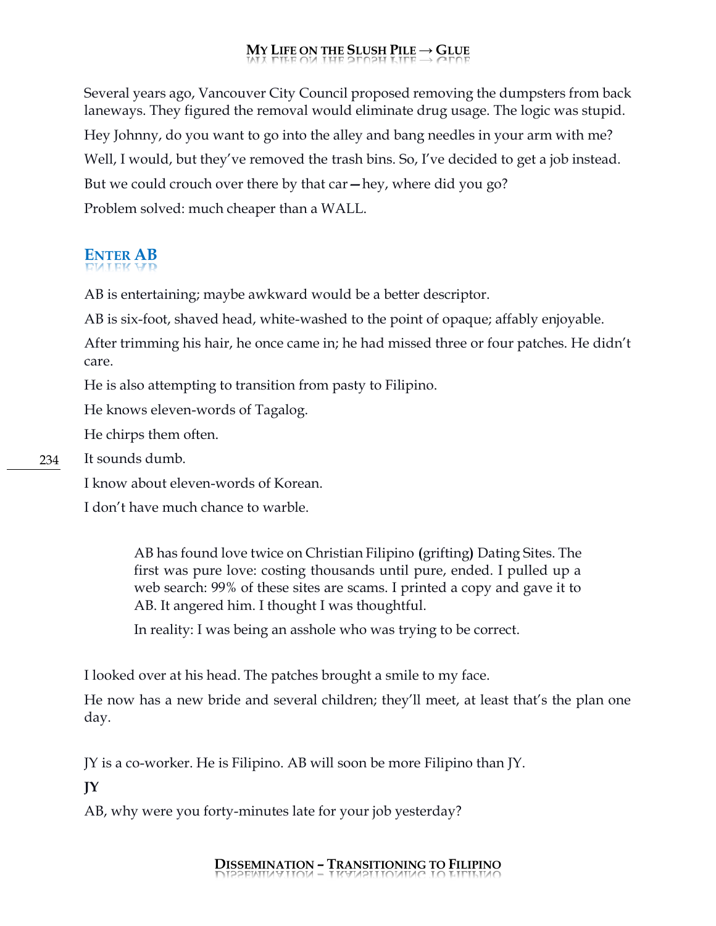Several years ago, Vancouver City Council proposed removing the dumpsters from back laneways. They figured the removal would eliminate drug usage. The logic was stupid. Hey Johnny, do you want to go into the alley and bang needles in your arm with me? Well, I would, but they've removed the trash bins. So, I've decided to get a job instead. But we could crouch over there by that car**—**hey, where did you go? Problem solved: much cheaper than a WALL.

# **ENTER AB**

AB is entertaining; maybe awkward would be a better descriptor.

AB is six-foot, shaved head, white-washed to the point of opaque; affably enjoyable.

After trimming his hair, he once came in; he had missed three or four patches. He didn't care.

He is also attempting to transition from pasty to Filipino.

He knows eleven-words of Tagalog.

He chirps them often.

It sounds dumb.

I know about eleven-words of Korean.

I don't have much chance to warble.

AB has found love twice on Christian Filipino **(**grifting**)** Dating Sites. The first was pure love: costing thousands until pure, ended. I pulled up a web search: 99% of these sites are scams. I printed a copy and gave it to AB. It angered him. I thought I was thoughtful.

In reality: I was being an asshole who was trying to be correct.

I looked over at his head. The patches brought a smile to my face.

He now has a new bride and several children; they'll meet, at least that's the plan one day.

JY is a co-worker. He is Filipino. AB will soon be more Filipino than JY.

**JY**

AB, why were you forty-minutes late for your job yesterday?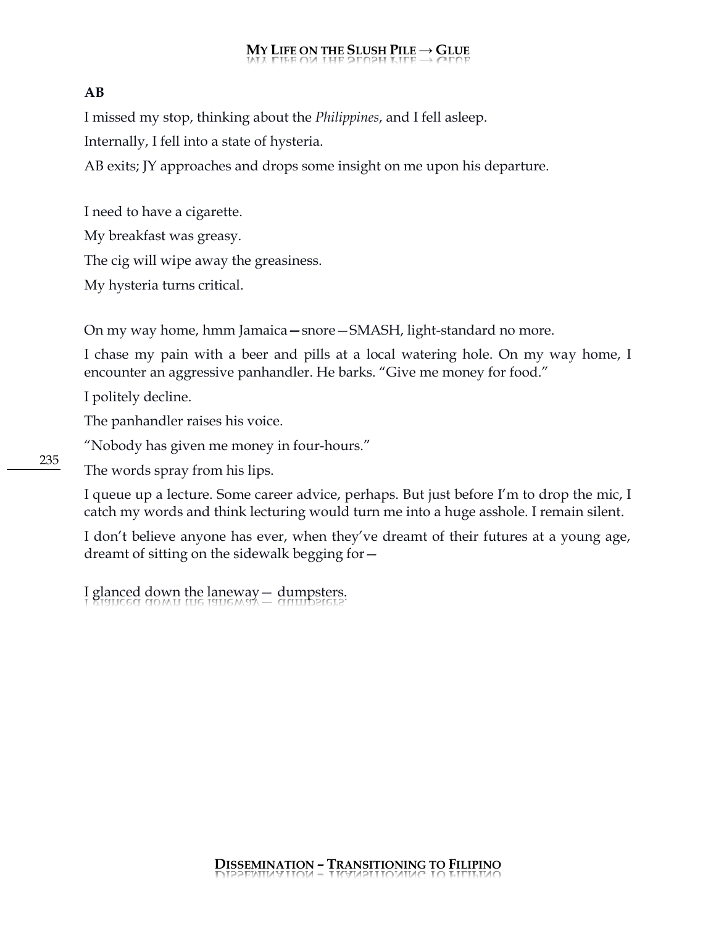#### **AB**

I missed my stop, thinking about the *Philippines*, and I fell asleep.

Internally, I fell into a state of hysteria.

AB exits; JY approaches and drops some insight on me upon his departure.

I need to have a cigarette. My breakfast was greasy. The cig will wipe away the greasiness. My hysteria turns critical.

On my way home, hmm Jamaica**—**snore—SMASH, light-standard no more.

I chase my pain with a beer and pills at a local watering hole. On my way home, I encounter an aggressive panhandler. He barks. "Give me money for food."

I politely decline.

The panhandler raises his voice.

"Nobody has given me money in four-hours."

The words spray from his lips.

I queue up a lecture. Some career advice, perhaps. But just before I'm to drop the mic, I catch my words and think lecturing would turn me into a huge asshole. I remain silent.

I don't believe anyone has ever, when they've dreamt of their futures at a young age, dreamt of sitting on the sidewalk begging for—

I glanced down the laneway  $-$  dumpsters.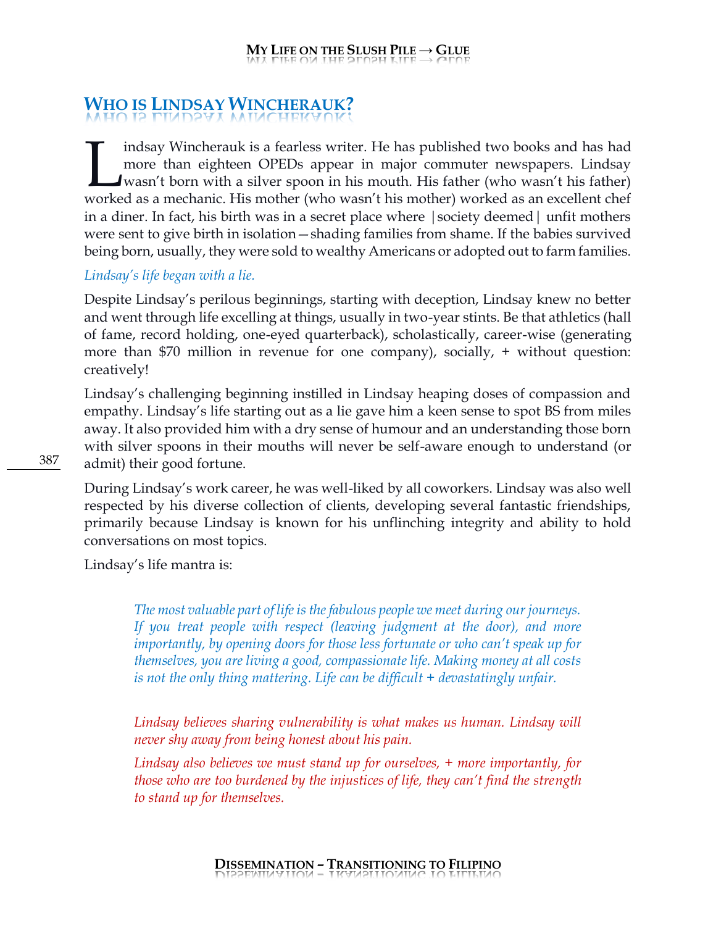# **WHO IS LINDSAY WINCHERAUK?**

indsay Wincherauk is a fearless writer. He has published two books and has had more than eighteen OPEDs appear in major commuter newspapers. Lindsay wasn't born with a silver spoon in his mouth. His father (who wasn't his father) Indsay Wincherauk is a fearless writer. He has published two books and has had more than eighteen OPEDs appear in major commuter newspapers. Lindsay wasn't born with a silver spoon in his mouth. His father (who wasn't his in a diner. In fact, his birth was in a secret place where |society deemed| unfit mothers were sent to give birth in isolation—shading families from shame. If the babies survived being born, usually, they were sold to wealthy Americans or adopted out to farm families.

#### *Lindsay's life began with a lie.*

Despite Lindsay's perilous beginnings, starting with deception, Lindsay knew no better and went through life excelling at things, usually in two-year stints. Be that athletics (hall of fame, record holding, one-eyed quarterback), scholastically, career-wise (generating more than \$70 million in revenue for one company), socially, + without question: creatively!

Lindsay's challenging beginning instilled in Lindsay heaping doses of compassion and empathy. Lindsay's life starting out as a lie gave him a keen sense to spot BS from miles away. It also provided him with a dry sense of humour and an understanding those born with silver spoons in their mouths will never be self-aware enough to understand (or admit) their good fortune.

During Lindsay's work career, he was well-liked by all coworkers. Lindsay was also well respected by his diverse collection of clients, developing several fantastic friendships, primarily because Lindsay is known for his unflinching integrity and ability to hold conversations on most topics.

Lindsay's life mantra is:

*The most valuable part of life is the fabulous people we meet during our journeys. If you treat people with respect (leaving judgment at the door), and more importantly, by opening doors for those less fortunate or who can't speak up for themselves, you are living a good, compassionate life. Making money at all costs is not the only thing mattering. Life can be difficult + devastatingly unfair.*

*Lindsay believes sharing vulnerability is what makes us human. Lindsay will never shy away from being honest about his pain.*

*Lindsay also believes we must stand up for ourselves, + more importantly, for those who are too burdened by the injustices of life, they can't find the strength to stand up for themselves.*